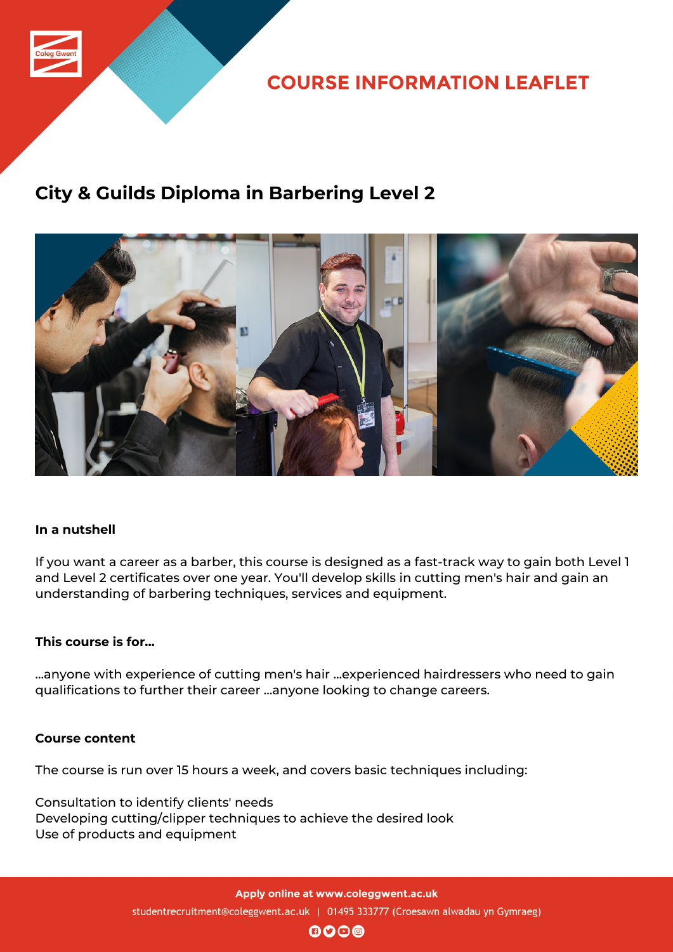

**COURSE INFORMATION LEAFLET** 

# **City & Guilds Diploma in Barbering Level 2**



### **In a nutshell**

If you want a career as a barber, this course is designed as a fast-track way to gain both Level 1 and Level 2 certificates over one year. You'll develop skills in cutting men's hair and gain an understanding of barbering techniques, services and equipment.

#### **This course is for...**

…anyone with experience of cutting men's hair …experienced hairdressers who need to gain qualifications to further their career …anyone looking to change careers.

#### **Course content**

The course is run over 15 hours a week, and covers basic techniques including:

Consultation to identify clients' needs Developing cutting/clipper techniques to achieve the desired look Use of products and equipment